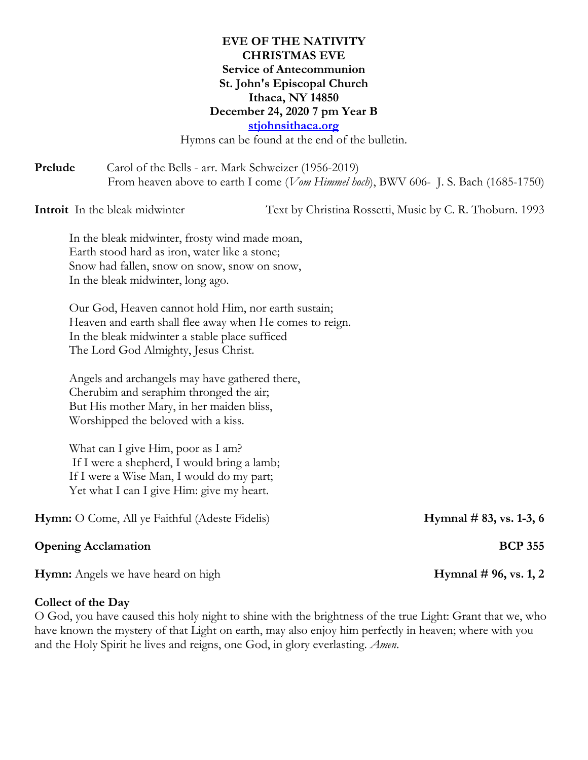# **EVE OF THE NATIVITY CHRISTMAS EVE Service of Antecommunion St. John's Episcopal Church Ithaca, NY 14850 December 24, 2020 7 pm Year B**

**stjohnsithaca.org**

Hymns can be found at the end of the bulletin.

**Prelude** Carol of the Bells - arr. Mark Schweizer (1956-2019) From heaven above to earth I come (*Vom Himmel hoch*), BWV 606- J. S. Bach (1685-1750)

**Introit** In the bleak midwinterText by Christina Rossetti, Music by C. R. Thoburn. 1993

In the bleak midwinter, frosty wind made moan, Earth stood hard as iron, water like a stone; Snow had fallen, snow on snow, snow on snow, In the bleak midwinter, long ago.

Our God, Heaven cannot hold Him, nor earth sustain; Heaven and earth shall flee away when He comes to reign. In the bleak midwinter a stable place sufficed The Lord God Almighty, Jesus Christ.

Angels and archangels may have gathered there, Cherubim and seraphim thronged the air; But His mother Mary, in her maiden bliss, Worshipped the beloved with a kiss.

What can I give Him, poor as I am? If I were a shepherd, I would bring a lamb; If I were a Wise Man, I would do my part; Yet what I can I give Him: give my heart.

**Hymn:** O Come, All ye Faithful (Adeste Fidelis) **Hymnal # 83, vs. 1-3, 6** 

#### **Opening Acclamation BCP 355**

**Hymn:** Angels we have heard on high **Hymnal # 96, vs. 1, 2** 

#### **Collect of the Day**

O God, you have caused this holy night to shine with the brightness of the true Light: Grant that we, who have known the mystery of that Light on earth, may also enjoy him perfectly in heaven; where with you and the Holy Spirit he lives and reigns, one God, in glory everlasting. *Amen*.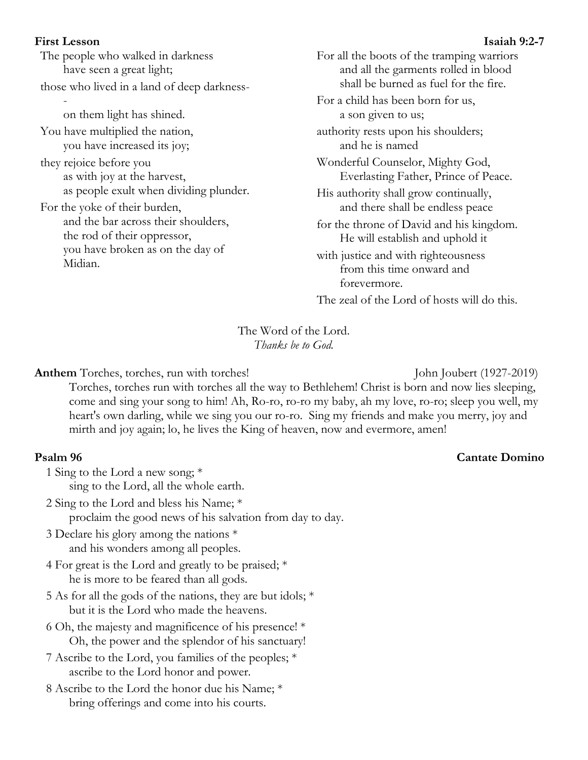#### **First Lesson Isaiah 9:2-7**

The people who walked in darkness have seen a great light; those who lived in a land of deep darkness-

> on them light has shined.

You have multiplied the nation, you have increased its joy;

they rejoice before you as with joy at the harvest, as people exult when dividing plunder.

For the yoke of their burden, and the bar across their shoulders, the rod of their oppressor, you have broken as on the day of Midian.

For all the boots of the tramping warriors and all the garments rolled in blood shall be burned as fuel for the fire.

For a child has been born for us, a son given to us;

authority rests upon his shoulders; and he is named

Wonderful Counselor, Mighty God, Everlasting Father, Prince of Peace.

His authority shall grow continually, and there shall be endless peace

for the throne of David and his kingdom. He will establish and uphold it

with justice and with righteousness from this time onward and forevermore.

The zeal of the Lord of hosts will do this.

The Word of the Lord. *Thanks be to God.*

Anthem Torches, torches, run with torches! John Joubert (1927-2019)

Torches, torches run with torches all the way to Bethlehem! Christ is born and now lies sleeping, come and sing your song to him! Ah, Ro-ro, ro-ro my baby, ah my love, ro-ro; sleep you well, my heart's own darling, while we sing you our ro-ro. Sing my friends and make you merry, joy and mirth and joy again; lo, he lives the King of heaven, now and evermore, amen!

## **Psalm 96 Cantate Domino**

1 Sing to the Lord a new song; \* sing to the Lord, all the whole earth.

2 Sing to the Lord and bless his Name; \* proclaim the good news of his salvation from day to day.

3 Declare his glory among the nations \* and his wonders among all peoples.

4 For great is the Lord and greatly to be praised; \* he is more to be feared than all gods.

- 5 As for all the gods of the nations, they are but idols; \* but it is the Lord who made the heavens.
- 6 Oh, the majesty and magnificence of his presence! \* Oh, the power and the splendor of his sanctuary!
- 7 Ascribe to the Lord, you families of the peoples; \* ascribe to the Lord honor and power.
- 8 Ascribe to the Lord the honor due his Name; \* bring offerings and come into his courts.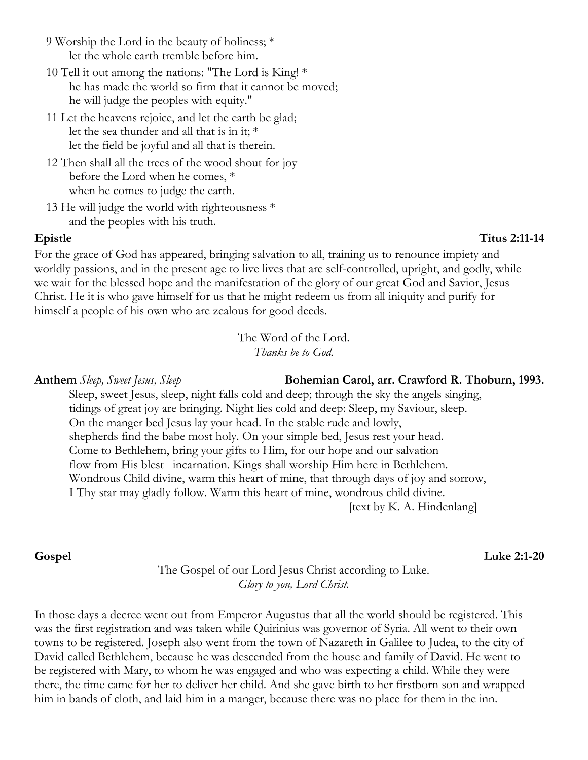- 9 Worship the Lord in the beauty of holiness; \* let the whole earth tremble before him.
- 10 Tell it out among the nations: "The Lord is King! \* he has made the world so firm that it cannot be moved; he will judge the peoples with equity."
- 11 Let the heavens rejoice, and let the earth be glad; let the sea thunder and all that is in it; \* let the field be joyful and all that is therein.
- 12 Then shall all the trees of the wood shout for joy before the Lord when he comes, \* when he comes to judge the earth.
- 13 He will judge the world with righteousness \* and the peoples with his truth.

For the grace of God has appeared, bringing salvation to all, training us to renounce impiety and worldly passions, and in the present age to live lives that are self-controlled, upright, and godly, while we wait for the blessed hope and the manifestation of the glory of our great God and Savior, Jesus Christ. He it is who gave himself for us that he might redeem us from all iniquity and purify for himself a people of his own who are zealous for good deeds.

> The Word of the Lord. *Thanks be to God.*

Anthem *Sleep, Sweet Jesus, Sleep* Bohemian Carol, arr. Crawford R. Thoburn, 1993.

Sleep, sweet Jesus, sleep, night falls cold and deep; through the sky the angels singing, tidings of great joy are bringing. Night lies cold and deep: Sleep, my Saviour, sleep. On the manger bed Jesus lay your head. In the stable rude and lowly, shepherds find the babe most holy. On your simple bed, Jesus rest your head. Come to Bethlehem, bring your gifts to Him, for our hope and our salvation flow from His blest incarnation. Kings shall worship Him here in Bethlehem. Wondrous Child divine, warm this heart of mine, that through days of joy and sorrow, I Thy star may gladly follow. Warm this heart of mine, wondrous child divine. [text by K. A. Hindenlang]

**Gospel Luke 2:1-20**

# The Gospel of our Lord Jesus Christ according to Luke. *Glory to you, Lord Christ.*

In those days a decree went out from Emperor Augustus that all the world should be registered. This was the first registration and was taken while Quirinius was governor of Syria. All went to their own towns to be registered. Joseph also went from the town of Nazareth in Galilee to Judea, to the city of David called Bethlehem, because he was descended from the house and family of David. He went to be registered with Mary, to whom he was engaged and who was expecting a child. While they were there, the time came for her to deliver her child. And she gave birth to her firstborn son and wrapped him in bands of cloth, and laid him in a manger, because there was no place for them in the inn.

#### **Epistle Titus 2:11-14**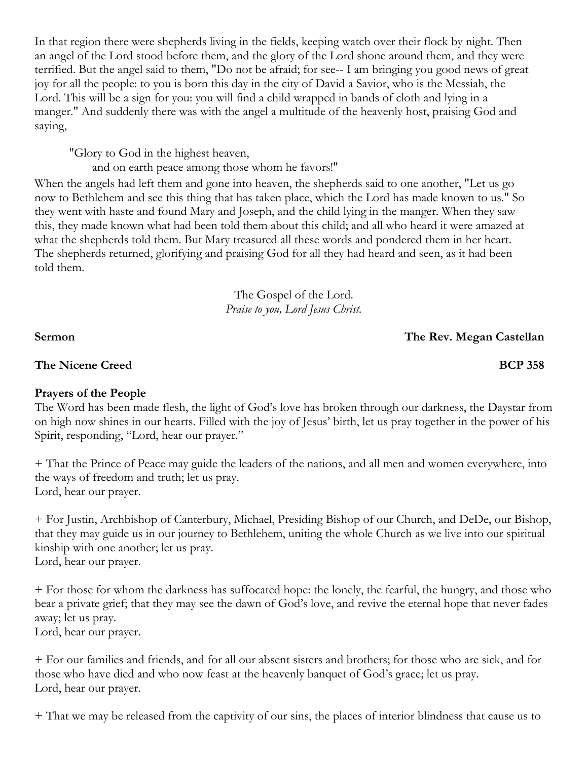In that region there were shepherds living in the fields, keeping watch over their flock by night. Then an angel of the Lord stood before them, and the glory of the Lord shone around them, and they were terrified. But the angel said to them, "Do not be afraid; for see-- I am bringing you good news of great joy for all the people: to you is born this day in the city of David a Savior, who is the Messiah, the Lord. This will be a sign for you: you will find a child wrapped in bands of cloth and lying in a manger." And suddenly there was with the angel a multitude of the heavenly host, praising God and saying,

"Glory to God in the highest heaven,

and on earth peace among those whom he favors!"

When the angels had left them and gone into heaven, the shepherds said to one another, "Let us go now to Bethlehem and see this thing that has taken place, which the Lord has made known to us." So they went with haste and found Mary and Joseph, and the child lying in the manger. When they saw this, they made known what had been told them about this child; and all who heard it were amazed at what the shepherds told them. But Mary treasured all these words and pondered them in her heart. The shepherds returned, glorifying and praising God for all they had heard and seen, as it had been told them.

> The Gospel of the Lord. *Praise to you, Lord Jesus Christ.*

## **The Nicene Creed BCP 358**

## **Prayers of the People**

The Word has been made flesh, the light of God's love has broken through our darkness, the Daystar from on high now shines in our hearts. Filled with the joy of Jesus' birth, let us pray together in the power of his Spirit, responding, "Lord, hear our prayer."

+ That the Prince of Peace may guide the leaders of the nations, and all men and women everywhere, into the ways of freedom and truth; let us pray. Lord, hear our prayer.

+ For Justin, Archbishop of Canterbury, Michael, Presiding Bishop of our Church, and DeDe, our Bishop, that they may guide us in our journey to Bethlehem, uniting the whole Church as we live into our spiritual kinship with one another; let us pray. Lord, hear our prayer.

+ For those for whom the darkness has suffocated hope: the lonely, the fearful, the hungry, and those who bear a private grief; that they may see the dawn of God's love, and revive the eternal hope that never fades away; let us pray.

Lord, hear our prayer.

+ For our families and friends, and for all our absent sisters and brothers; for those who are sick, and for those who have died and who now feast at the heavenly banquet of God's grace; let us pray. Lord, hear our prayer.

+ That we may be released from the captivity of our sins, the places of interior blindness that cause us to

**Sermon The Rev. Megan Castellan**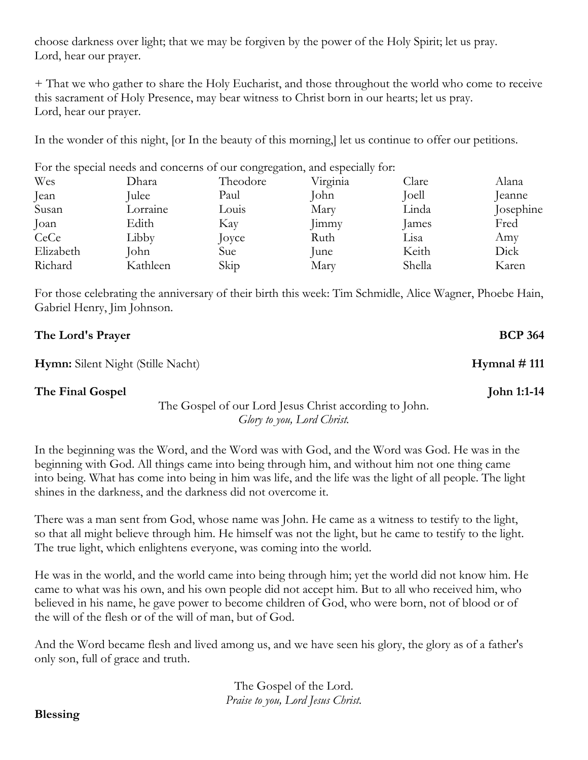choose darkness over light; that we may be forgiven by the power of the Holy Spirit; let us pray. Lord, hear our prayer.

+ That we who gather to share the Holy Eucharist, and those throughout the world who come to receive this sacrament of Holy Presence, may bear witness to Christ born in our hearts; let us pray. Lord, hear our prayer.

In the wonder of this night, [or In the beauty of this morning,] let us continue to offer our petitions.

For the special needs and concerns of our congregation, and especially for:

| Wes       | Dhara    | Theodore  | Virginia           | Clare  | Alana     |
|-----------|----------|-----------|--------------------|--------|-----------|
| Jean      | Julee    | Paul      | John               | Joell  | Jeanne    |
| Susan     | Lorraine | Louis     | Mary               | Linda  | Josephine |
| Joan      | Edith    | Kay       | $\lim_{\text{mv}}$ | ames   | Fred      |
| CeCe      | Libby    | $\log$ ce | Ruth               | Lısa   | Amy       |
| Elizabeth | John     | Sue       | lune               | Keith  | Dick      |
| Richard   | Kathleen | Skip      | Mary               | Shella | Karen     |

For those celebrating the anniversary of their birth this week: Tim Schmidle, Alice Wagner, Phoebe Hain, Gabriel Henry, Jim Johnson.

## **The Lord's Prayer BCP 364**

**Hymn:** Silent Night (Stille Nacht) **Hymnal # 111** 

## **The Final Gospel John 1:1-14**

# The Gospel of our Lord Jesus Christ according to John. *Glory to you, Lord Christ.*

In the beginning was the Word, and the Word was with God, and the Word was God. He was in the beginning with God. All things came into being through him, and without him not one thing came into being. What has come into being in him was life, and the life was the light of all people. The light shines in the darkness, and the darkness did not overcome it.

There was a man sent from God, whose name was John. He came as a witness to testify to the light, so that all might believe through him. He himself was not the light, but he came to testify to the light. The true light, which enlightens everyone, was coming into the world.

He was in the world, and the world came into being through him; yet the world did not know him. He came to what was his own, and his own people did not accept him. But to all who received him, who believed in his name, he gave power to become children of God, who were born, not of blood or of the will of the flesh or of the will of man, but of God.

And the Word became flesh and lived among us, and we have seen his glory, the glory as of a father's only son, full of grace and truth.

> The Gospel of the Lord. *Praise to you, Lord Jesus Christ.*

## **Blessing**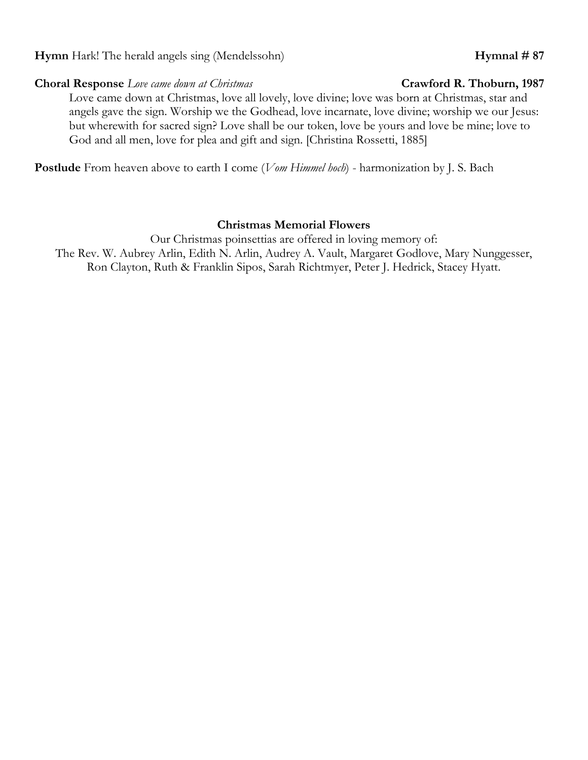**Hymn** Hark! The herald angels sing (Mendelssohn) **Hymnal # 87** 

#### **Choral Response** *Love came down at Christmas* **Crawford R. Thoburn, 1987**

Love came down at Christmas, love all lovely, love divine; love was born at Christmas, star and angels gave the sign. Worship we the Godhead, love incarnate, love divine; worship we our Jesus: but wherewith for sacred sign? Love shall be our token, love be yours and love be mine; love to God and all men, love for plea and gift and sign. [Christina Rossetti, 1885]

**Postlude** From heaven above to earth I come (*Vom Himmel hoch*) - harmonization by J. S. Bach

## **Christmas Memorial Flowers**

Our Christmas poinsettias are offered in loving memory of: The Rev. W. Aubrey Arlin, Edith N. Arlin, Audrey A. Vault, Margaret Godlove, Mary Nunggesser, Ron Clayton, Ruth & Franklin Sipos, Sarah Richtmyer, Peter J. Hedrick, Stacey Hyatt.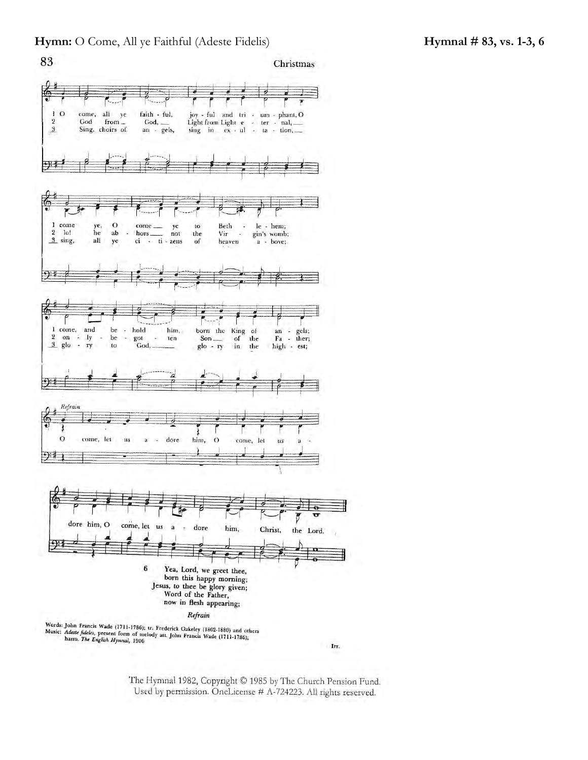#### **Hymn:** O Come, All ye Faithful (Adeste Fidelis) **Hymnal # 83, vs. 1-3, 6**



Irr,

The Hymnal 1982, Copyright © 1985 by The Church Pension Fund. Used by permission. OneLicense # A-724223. All rights reserved.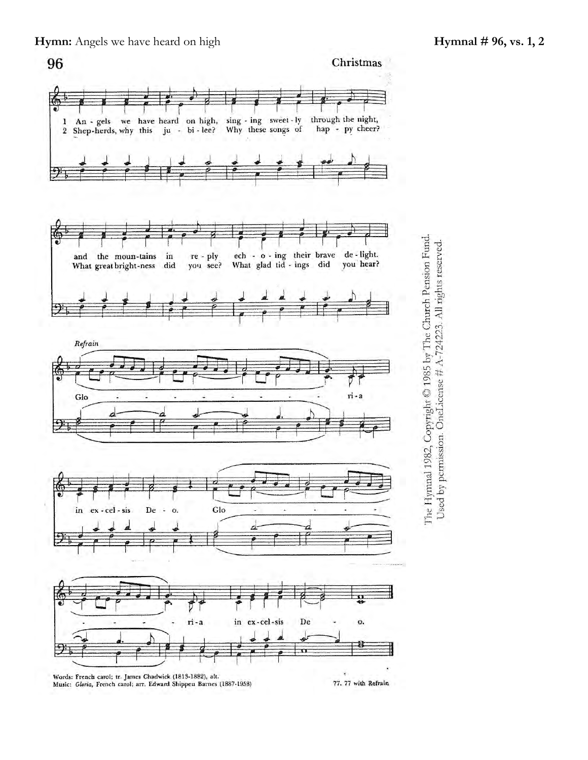**Hymn:** Angels we have heard on high **Hymnal # 96, vs. 1, 2** 



Words: French carol; tr. James Chadwick (1813-1882), alt. Music: Gloria, French carol; arr. Edward Shippen Barnes (1887-1958)

 $\vdots$ 



77. 77 with Refrain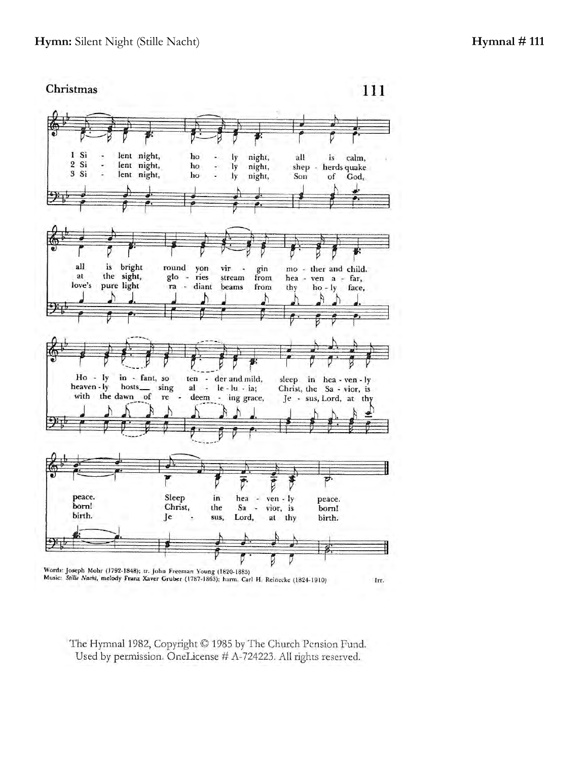#### **Hymn:** Silent Night (Stille Nacht) **Hymnal # 111**



The Hymnal 1982, Copyright © 1985 by The Church Pension Fund. Used by permission. OneLicense # A-724223. All rights reserved.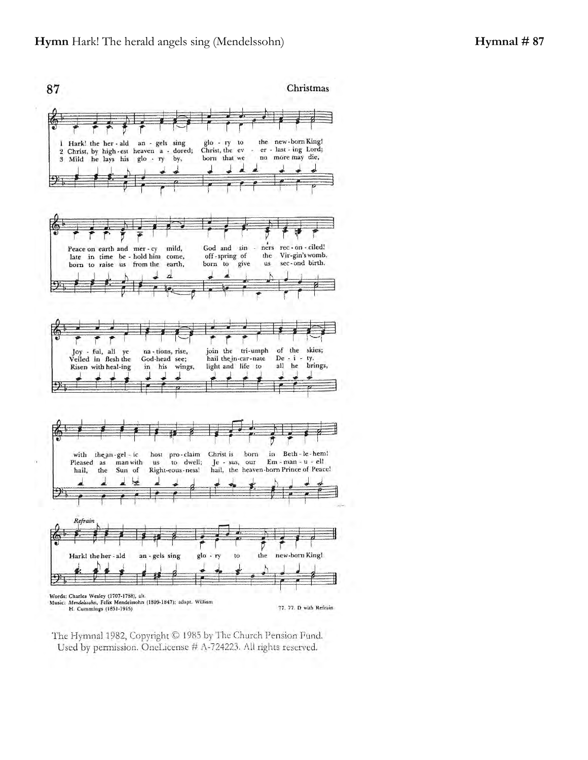

The Hymnal 1982, Copyright © 1985 by The Church Pension Fund. Used by permission. OneLicense # A-724223. All rights reserved.